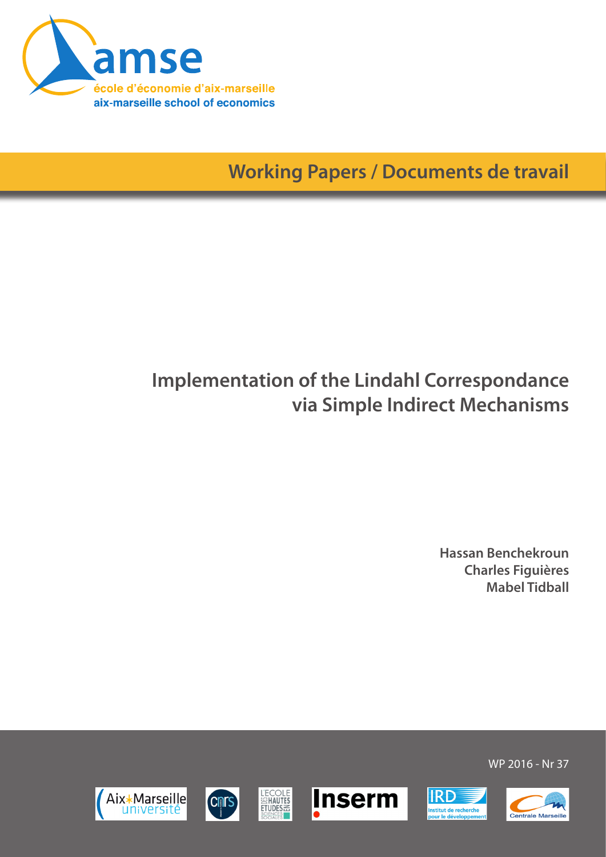

**Working Papers / Documents de travail**

# **Implementation of the Lindahl Correspondance via Simple Indirect Mechanisms**

**Hassan Benchekroun Charles Figuières Mabel Tidball**



WP 2016 - Nr 37

**IRD** 

nstitut de recherche<br>vour le développem





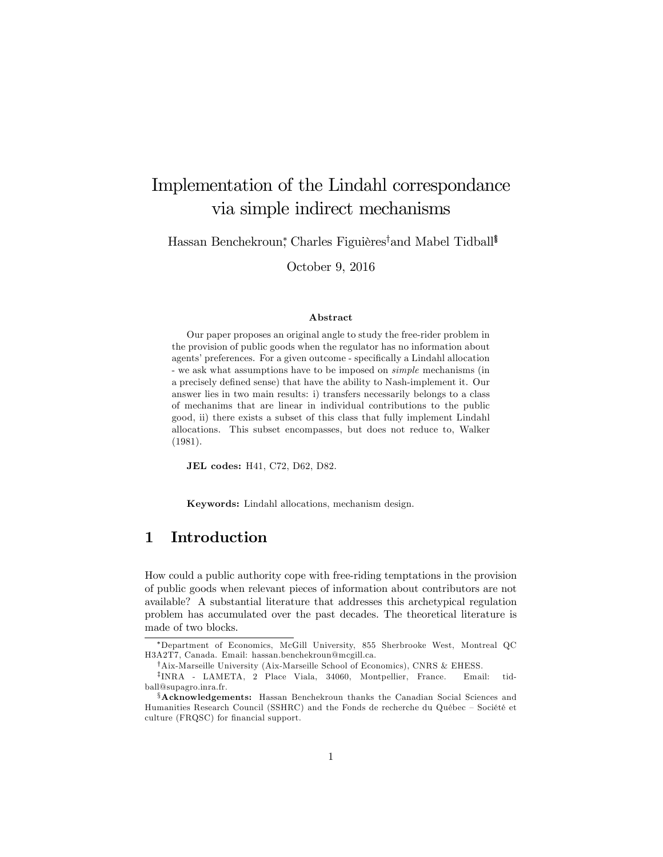## Implementation of the Lindahl correspondance via simple indirect mechanisms

Hassan Benchekroun,\* Charles Figuières†and Mabel Tidball<sup>§</sup>

October 9, 2016

#### Abstract

Our paper proposes an original angle to study the free-rider problem in the provision of public goods when the regulator has no information about agents' preferences. For a given outcome - specifically a Lindahl allocation - we ask what assumptions have to be imposed on simple mechanisms (in a precisely defined sense) that have the ability to Nash-implement it. Our answer lies in two main results: i) transfers necessarily belongs to a class of mechanims that are linear in individual contributions to the public good, ii) there exists a subset of this class that fully implement Lindahl allocations. This subset encompasses, but does not reduce to, Walker (1981).

JEL codes: H41, C72, D62, D82.

Keywords: Lindahl allocations, mechanism design.

### 1 Introduction

How could a public authority cope with free-riding temptations in the provision of public goods when relevant pieces of information about contributors are not available? A substantial literature that addresses this archetypical regulation problem has accumulated over the past decades. The theoretical literature is made of two blocks.

Department of Economics, McGill University, 855 Sherbrooke West, Montreal QC H3A2T7, Canada. Email: hassan.benchekroun@mcgill.ca.

 $^{\dagger}$ Aix-Marseille University (Aix-Marseille School of Economics), CNRS & EHESS.

z INRA - LAMETA, 2 Place Viala, 34060, Montpellier, France. Email: tidball@supagro.inra.fr.

 $\delta$  Acknowledgements: Hassan Benchekroun thanks the Canadian Social Sciences and Humanities Research Council (SSHRC) and the Fonds de recherche du Québec – Société et culture (FRQSC) for financial support.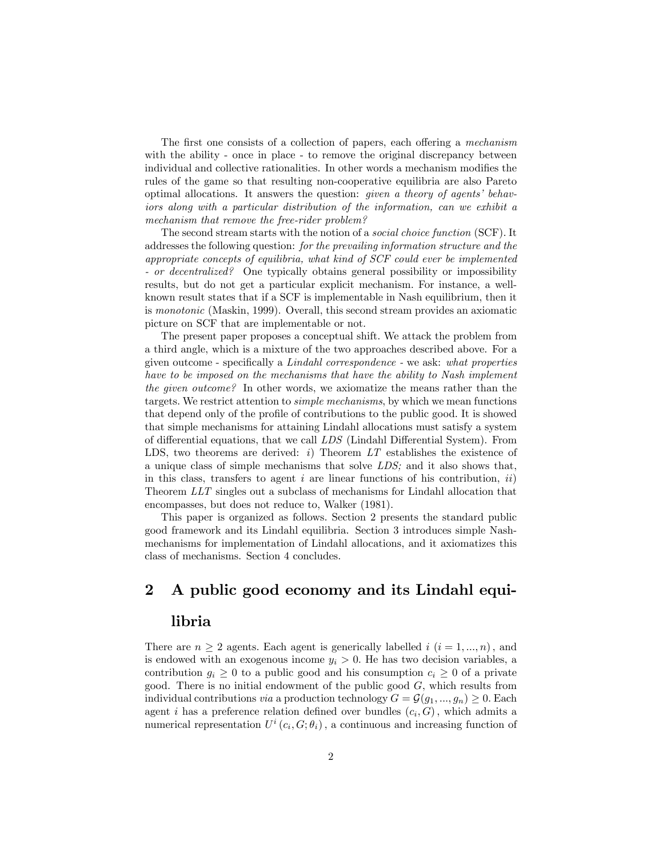The first one consists of a collection of papers, each offering a *mechanism* with the ability - once in place - to remove the original discrepancy between individual and collective rationalities. In other words a mechanism modifies the rules of the game so that resulting non-cooperative equilibria are also Pareto optimal allocations. It answers the question: *given a theory of agents' behav*iors along with a particular distribution of the information, can we exhibit a mechanism that remove the free-rider problem?

The second stream starts with the notion of a social choice function (SCF). It addresses the following question: for the prevailing information structure and the appropriate concepts of equilibria, what kind of SCF could ever be implemented - or decentralized? One typically obtains general possibility or impossibility results, but do not get a particular explicit mechanism. For instance, a wellknown result states that if a SCF is implementable in Nash equilibrium, then it is monotonic (Maskin, 1999). Overall, this second stream provides an axiomatic picture on SCF that are implementable or not.

The present paper proposes a conceptual shift. We attack the problem from a third angle, which is a mixture of the two approaches described above. For a given outcome - specifically a  $Lindahl$  correspondence - we ask: what properties have to be imposed on the mechanisms that have the ability to Nash implement the given outcome? In other words, we axiomatize the means rather than the targets. We restrict attention to simple mechanisms, by which we mean functions that depend only of the profile of contributions to the public good. It is showed that simple mechanisms for attaining Lindahl allocations must satisfy a system of differential equations, that we call  $LDS$  (Lindahl Differential System). From LDS, two theorems are derived:  $i$ ) Theorem  $LT$  establishes the existence of a unique class of simple mechanisms that solve LDS; and it also shows that, in this class, transfers to agent i are linear functions of his contribution,  $ii)$ Theorem LLT singles out a subclass of mechanisms for Lindahl allocation that encompasses, but does not reduce to, Walker (1981).

This paper is organized as follows. Section 2 presents the standard public good framework and its Lindahl equilibria. Section 3 introduces simple Nashmechanisms for implementation of Lindahl allocations, and it axiomatizes this class of mechanisms. Section 4 concludes.

### 2 A public good economy and its Lindahl equi-

#### libria

There are  $n \geq 2$  agents. Each agent is generically labelled i  $(i = 1, ..., n)$ , and is endowed with an exogenous income  $y_i > 0$ . He has two decision variables, a contribution  $g_i \geq 0$  to a public good and his consumption  $c_i \geq 0$  of a private good. There is no initial endowment of the public good  $G$ , which results from individual contributions via a production technology  $G = \mathcal{G}(g_1, ..., g_n) \geq 0$ . Each agent *i* has a preference relation defined over bundles  $(c_i, G)$ , which admits a numerical representation  $U^{i}(c_{i}, G; \theta_{i})$ , a continuous and increasing function of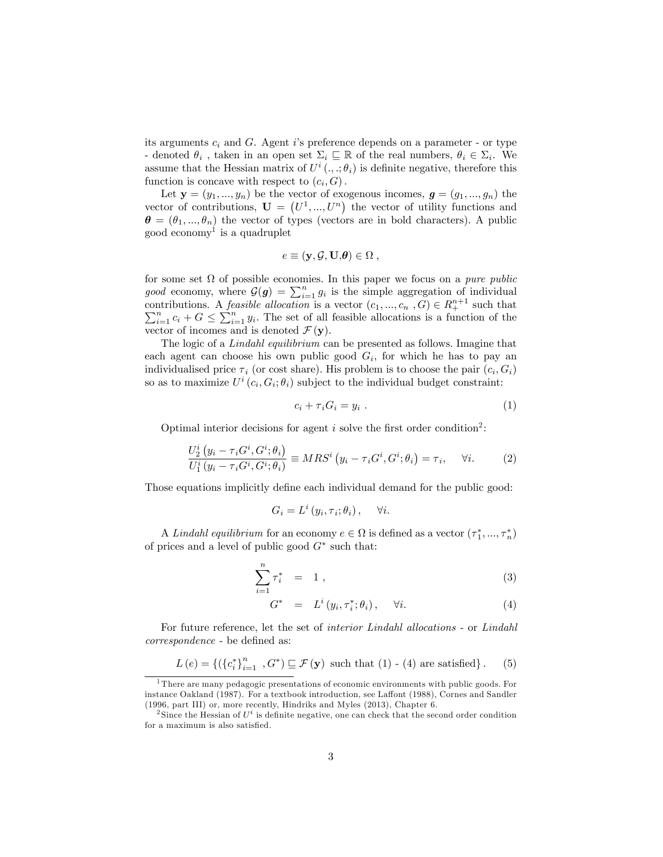its arguments  $c_i$  and  $G$ . Agent is preference depends on a parameter - or type - denoted  $\theta_i$ , taken in an open set  $\Sigma_i \subseteq \mathbb{R}$  of the real numbers,  $\theta_i \in \Sigma_i$ . We assume that the Hessian matrix of  $U^i(.,.; \theta_i)$  is definite negative, therefore this function is concave with respect to  $(c_i, G)$ .

Let  $\mathbf{y} = (y_1, ..., y_n)$  be the vector of exogenous incomes,  $\mathbf{g} = (g_1, ..., g_n)$  the vector of contributions,  $\mathbf{U} = (U^1, ..., U^n)$  the vector of utility functions and  $\theta = (\theta_1, ..., \theta_n)$  the vector of types (vectors are in bold characters). A public good economy<sup>1</sup> is a quadruplet

$$
e \equiv (\mathbf{y}, \mathcal{G}, \mathbf{U}, \boldsymbol{\theta}) \in \Omega ,
$$

for some set  $\Omega$  of possible economies. In this paper we focus on a *pure public* good economy, where  $\mathcal{G}(g) = \sum_{i=1}^{n} g_i$  is the simple aggregation of individual contributions. A *feasible allocation* is a vector  $(c_1, ..., c_n, G) \in R_+^{n+1}$  $\sum$ ntributions. A *feasible allocation* is a vector  $(c_1, ..., c_n, G) \in R_+^{n+1}$  such that  $\sum_{i=1}^n c_i + G \le \sum_{i=1}^n y_i$ . The set of all feasible allocations is a function of the vector of incomes and is denoted  $\mathcal{F}(\mathbf{y})$ .

The logic of a Lindahl equilibrium can be presented as follows. Imagine that each agent can choose his own public good  $G_i$ , for which he has to pay an individualised price  $\tau_i$  (or cost share). His problem is to choose the pair  $(c_i, G_i)$ so as to maximize  $U^i(c_i, G_i; \theta_i)$  subject to the individual budget constraint:

$$
c_i + \tau_i G_i = y_i \tag{1}
$$

Optimal interior decisions for agent i solve the first order condition<sup>2</sup>:

$$
\frac{U_2^i\left(y_i - \tau_i G^i, G^i; \theta_i\right)}{U_1^i\left(y_i - \tau_i G^i, G^i; \theta_i\right)} \equiv MRS^i\left(y_i - \tau_i G^i, G^i; \theta_i\right) = \tau_i, \quad \forall i. \tag{2}
$$

Those equations implicitly define each individual demand for the public good:

$$
G_i = L^i(y_i, \tau_i; \theta_i), \quad \forall i.
$$

A Lindahl equilibrium for an economy  $e \in \Omega$  is defined as a vector  $(\tau_1^*, ..., \tau_n^*)$ of prices and a level of public good  $G^*$  such that:

$$
\sum_{i=1}^{n} \tau_i^* = 1 , \t\t(3)
$$

$$
G^* = L^i(y_i, \tau_i^*; \theta_i), \quad \forall i. \tag{4}
$$

For future reference, let the set of interior Lindahl allocations - or Lindahl correspondence - be defined as:

$$
L(e) = \{ (\{c_i^*\}_{i=1}^n, G^*) \sqsubseteq \mathcal{F}(\mathbf{y}) \text{ such that } (1) \cdot (4) \text{ are satisfied} \}.
$$
 (5)

<sup>1</sup> There are many pedagogic presentations of economic environments with public goods. For instance Oakland (1987). For a textbook introduction, see Laffont (1988), Cornes and Sandler (1996, part III) or, more recently, Hindriks and Myles (2013), Chapter 6.

<sup>&</sup>lt;sup>2</sup> Since the Hessian of  $U^i$  is definite negative, one can check that the second order condition for a maximum is also satisfied.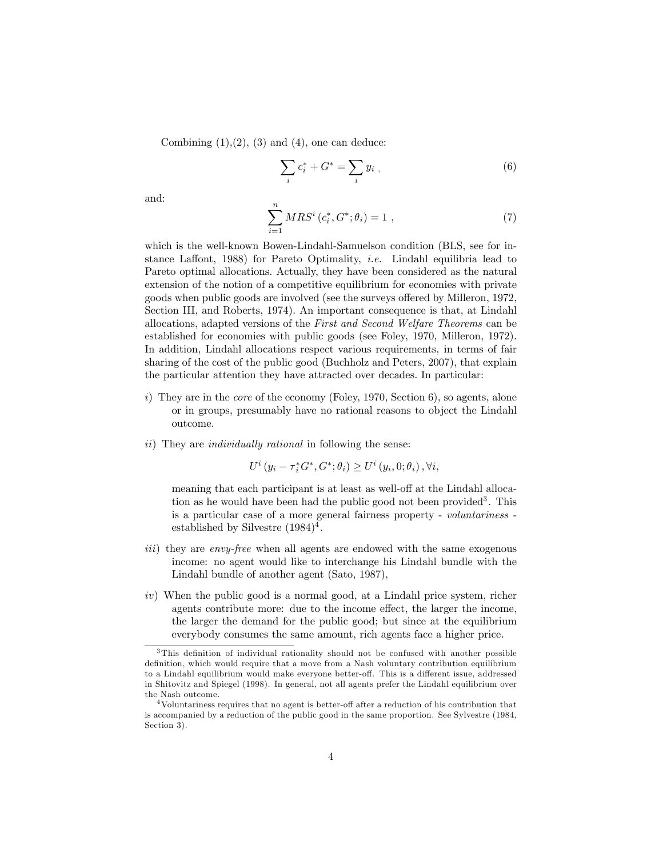Combining  $(1),(2), (3)$  and  $(4)$ , one can deduce:

$$
\sum_{i} c_i^* + G^* = \sum_{i} y_i , \qquad (6)
$$

and:

$$
\sum_{i=1}^{n} MRS^{i} (c_{i}^{*}, G^{*}; \theta_{i}) = 1 , \qquad (7)
$$

which is the well-known Bowen-Lindahl-Samuelson condition (BLS, see for instance Laffont, 1988) for Pareto Optimality, *i.e.* Lindahl equilibria lead to Pareto optimal allocations. Actually, they have been considered as the natural extension of the notion of a competitive equilibrium for economies with private goods when public goods are involved (see the surveys offered by Milleron, 1972, Section III, and Roberts, 1974). An important consequence is that, at Lindahl allocations, adapted versions of the First and Second Welfare Theorems can be established for economies with public goods (see Foley, 1970, Milleron, 1972). In addition, Lindahl allocations respect various requirements, in terms of fair sharing of the cost of the public good (Buchholz and Peters, 2007), that explain the particular attention they have attracted over decades. In particular:

- i) They are in the *core* of the economy (Foley, 1970, Section 6), so agents, alone or in groups, presumably have no rational reasons to object the Lindahl outcome.
- ii) They are individually rational in following the sense:

$$
U^{i}(y_{i} - \tau_{i}^{*}G^{*}, G^{*}; \theta_{i}) \geq U^{i}(y_{i}, 0; \theta_{i}), \forall i,
$$

meaning that each participant is at least as well-off at the Lindahl allocation as he would have been had the public good not been provided<sup>3</sup>. This is a particular case of a more general fairness property - voluntariness established by Silvestre  $(1984)^4$ .

- iii) they are envy-free when all agents are endowed with the same exogenous income: no agent would like to interchange his Lindahl bundle with the Lindahl bundle of another agent (Sato, 1987),
- iv) When the public good is a normal good, at a Lindahl price system, richer agents contribute more: due to the income effect, the larger the income, the larger the demand for the public good; but since at the equilibrium everybody consumes the same amount, rich agents face a higher price.

 $3$ This definition of individual rationality should not be confused with another possible definition, which would require that a move from a Nash voluntary contribution equilibrium to a Lindahl equilibrium would make everyone better-off. This is a different issue, addressed in Shitovitz and Spiegel (1998). In general, not all agents prefer the Lindahl equilibrium over the Nash outcome.

 $4$ Voluntariness requires that no agent is better-off after a reduction of his contribution that is accompanied by a reduction of the public good in the same proportion. See Sylvestre (1984, Section 3).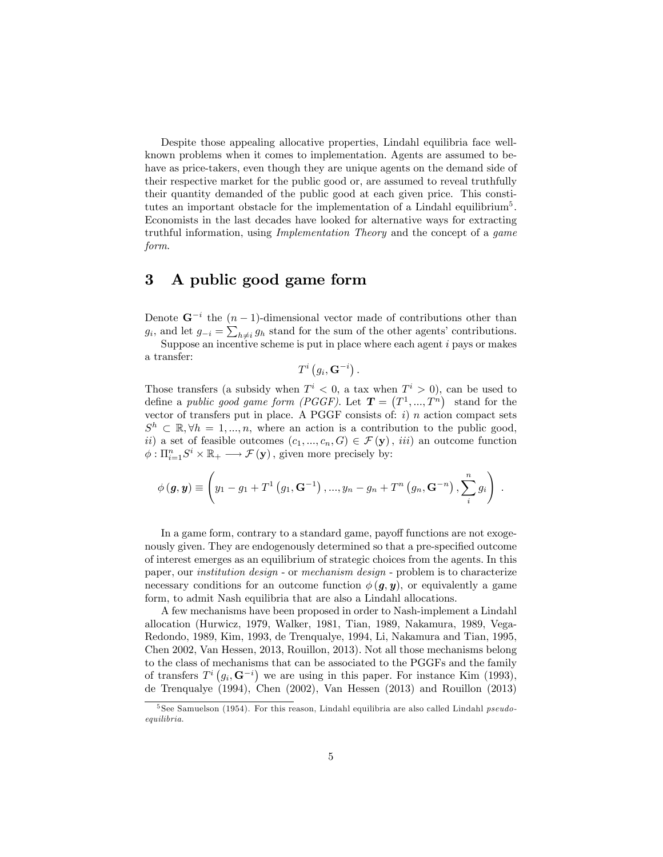Despite those appealing allocative properties, Lindahl equilibria face wellknown problems when it comes to implementation. Agents are assumed to behave as price-takers, even though they are unique agents on the demand side of their respective market for the public good or, are assumed to reveal truthfully their quantity demanded of the public good at each given price. This constitutes an important obstacle for the implementation of a Lindahl equilibrium<sup>5</sup>. Economists in the last decades have looked for alternative ways for extracting truthful information, using Implementation Theory and the concept of a game form.

#### 3 A public good game form

Denote  $\mathbf{G}^{-i}$  the  $(n-1)$ -dimensional vector made of contributions other than  $g_i$ , and let  $g_{-i} = \sum_{h \neq i} g_h$  stand for the sum of the other agents' contributions.

Suppose an incentive scheme is put in place where each agent  $i$  pays or makes a transfer:

 $T^i(g_i,\mathbf{G}^{-i})$  .

Those transfers (a subsidy when  $T^i < 0$ , a tax when  $T^i > 0$ ), can be used to define a public good game form (PGGF). Let  $\mathbf{T} = (T^1, ..., T^n)$  stand for the vector of transfers put in place. A PGGF consists of:  $i)$  n action compact sets  $S^h \subset \mathbb{R}, \forall h = 1, ..., n$ , where an action is a contribution to the public good, ii) a set of feasible outcomes  $(c_1, ..., c_n, G) \in \mathcal{F}(\mathbf{y}), iii$  an outcome function  $\phi: \Pi_{i=1}^n S^i \times \mathbb{R}_+ \longrightarrow \mathcal{F}(\mathbf{y})$ , given more precisely by:

$$
\phi(\mathbf{g}, \mathbf{y}) \equiv \left(y_1 - g_1 + T^1(g_1, \mathbf{G}^{-1}), ..., y_n - g_n + T^n(g_n, \mathbf{G}^{-n}), \sum_{i}^{n} g_i\right).
$$

In a game form, contrary to a standard game, payoff functions are not exogenously given. They are endogenously determined so that a pre-specified outcome of interest emerges as an equilibrium of strategic choices from the agents. In this paper, our institution design - or mechanism design - problem is to characterize necessary conditions for an outcome function  $\phi(q, \mathbf{y})$ , or equivalently a game form, to admit Nash equilibria that are also a Lindahl allocations.

A few mechanisms have been proposed in order to Nash-implement a Lindahl allocation (Hurwicz, 1979, Walker, 1981, Tian, 1989, Nakamura, 1989, Vega-Redondo, 1989, Kim, 1993, de Trenqualye, 1994, Li, Nakamura and Tian, 1995, Chen 2002, Van Hessen, 2013, Rouillon, 2013). Not all those mechanisms belong to the class of mechanisms that can be associated to the PGGFs and the family of transfers  $T^{i}(g_i, \mathbf{G}^{-i})$  we are using in this paper. For instance Kim (1993), de Trenqualye (1994), Chen (2002), Van Hessen (2013) and Rouillon (2013)

 $5$  See Samuelson (1954). For this reason, Lindahl equilibria are also called Lindahl *pseudo*equilibria.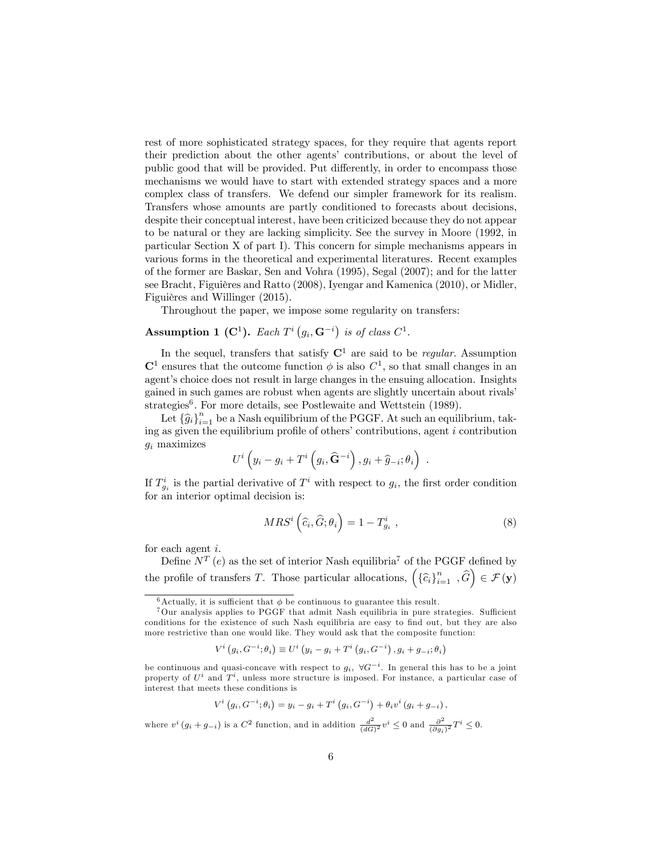rest of more sophisticated strategy spaces, for they require that agents report their prediction about the other agents' contributions, or about the level of public good that will be provided. Put differently, in order to encompass those mechanisms we would have to start with extended strategy spaces and a more complex class of transfers. We defend our simpler framework for its realism. Transfers whose amounts are partly conditioned to forecasts about decisions, despite their conceptual interest, have been criticized because they do not appear to be natural or they are lacking simplicity. See the survey in Moore (1992, in particular Section X of part I). This concern for simple mechanisms appears in various forms in the theoretical and experimental literatures. Recent examples of the former are Baskar, Sen and Vohra (1995), Segal (2007); and for the latter see Bracht, Figuières and Ratto (2008), Iyengar and Kamenica (2010), or Midler, Figuières and Willinger (2015).

Throughout the paper, we impose some regularity on transfers:

#### **Assumption 1 (C<sup>1</sup>).** Each  $T^i(g_i, \mathbf{G}^{-i})$  is of class  $C^1$ .

In the sequel, transfers that satisfy  $\mathbb{C}^1$  are said to be *regular*. Assumption  $\mathbb{C}^1$  ensures that the outcome function  $\phi$  is also  $C^1$ , so that small changes in an agent's choice does not result in large changes in the ensuing allocation. Insights gained in such games are robust when agents are slightly uncertain about rivalsí strategies<sup>6</sup>. For more details, see Postlewaite and Wettstein (1989).

Let  $\{\widehat{g}_i\}_{i=1}^n$  be a Nash equilibrium of the PGGF. At such an equilibrium, taking as given the equilibrium profile of others' contributions, agent  $i$  contribution  $g_i$  maximizes

$$
U^i\left(y_i-g_i+T^i\left(g_i,\widehat{\mathbf{G}}^{-i}\right),g_i+\widehat{g}_{-i};\theta_i\right) .
$$

If  $T_{g_i}^i$  is the partial derivative of  $T^i$  with respect to  $g_i$ , the first order condition for an interior optimal decision is:

$$
MRS^{i}\left(\widehat{c}_{i},\widehat{G};\theta_{i}\right)=1-T_{g_{i}}^{i}\ ,\qquad (8)
$$

for each agent i.

Define  $N^T$  (e) as the set of interior Nash equilibria<sup>7</sup> of the PGGF defined by the profile of transfers T. Those particular allocations,  $(\{\hat{c}_i\}_{i=1}^n, \hat{G}) \in \mathcal{F}(\mathbf{y})$ 

$$
V^{i}\left(g_{i}, G^{-i} ; \theta_{i}\right) \equiv U^{i}\left(y_{i}-g_{i}+T^{i}\left(g_{i}, G^{-i}\right), g_{i}+g_{-i} ; \theta_{i}\right)
$$

$$
V^{i}(g_{i}, G^{-i}; \theta_{i}) = y_{i} - g_{i} + T^{i}(g_{i}, G^{-i}) + \theta_{i}v^{i}(g_{i} + g_{-i}),
$$

where  $v^i(g_i+g_{-i})$  is a  $C^2$  function, and in addition  $\frac{d^2}{(dG)}$  $\frac{d^2}{(dG)^2}v^i \leq 0$  and  $\frac{\partial^2}{(\partial g_i)^2}$  $\frac{\partial^2}{(\partial g_i)^2} T^i \leq 0.$ 

 $^6\textnormal{Actually, it is sufficient that }\phi$  be continuous to guarantee this result.

 $7$ Our analysis applies to PGGF that admit Nash equilibria in pure strategies. Sufficient conditions for the existence of such Nash equilibria are easy to find out, but they are also more restrictive than one would like. They would ask that the composite function:

be continuous and quasi-concave with respect to  $g_i$ ,  $\forall G^{-i}$ . In general this has to be a joint property of  $U^i$  and  $T^i$ , unless more structure is imposed. For instance, a particular case of interest that meets these conditions is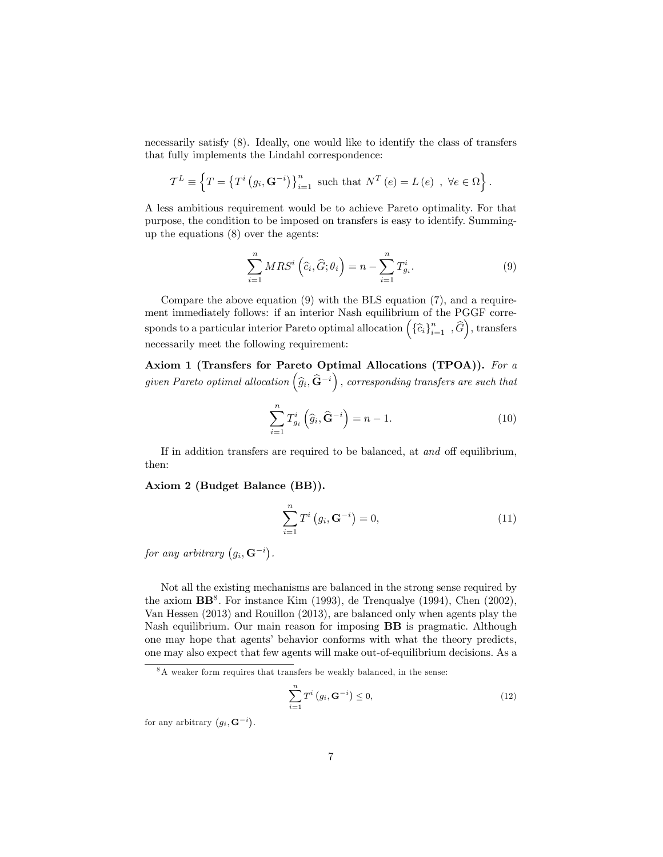necessarily satisfy (8). Ideally, one would like to identify the class of transfers that fully implements the Lindahl correspondence:

$$
\mathcal{T}^{L} \equiv \left\{ T = \left\{ T^{i} \left( g_{i}, \mathbf{G}^{-i} \right) \right\}_{i=1}^{n} \text{ such that } N^{T} \left( e \right) = L \left( e \right) , \ \forall e \in \Omega \right\}.
$$

A less ambitious requirement would be to achieve Pareto optimality. For that purpose, the condition to be imposed on transfers is easy to identify. Summingup the equations (8) over the agents:

$$
\sum_{i=1}^{n} MRS^{i} \left(\widehat{c}_{i}, \widehat{G}; \theta_{i}\right) = n - \sum_{i=1}^{n} T_{g_{i}}^{i}.
$$
\n(9)

Compare the above equation (9) with the BLS equation (7), and a requirement immediately follows: if an interior Nash equilibrium of the PGGF corresponds to a particular interior Pareto optimal allocation  $(\{\widehat{c}_i\}_{i=1}^n, \widehat{G}\})$ , transfers necessarily meet the following requirement:

Axiom 1 (Transfers for Pareto Optimal Allocations (TPOA)). For a given Pareto optimal allocation  $(\widehat{g}_i, \widehat{\mathbf{G}}^{-i})$ , corresponding transfers are such that

$$
\sum_{i=1}^{n} T_{g_i}^i \left( \hat{g}_i, \hat{\mathbf{G}}^{-i} \right) = n - 1.
$$
 (10)

If in addition transfers are required to be balanced, at and off equilibrium, then:

Axiom 2 (Budget Balance (BB)).

$$
\sum_{i=1}^{n} T^{i} (g_{i}, \mathbf{G}^{-i}) = 0,
$$
\n(11)

for any arbitrary  $(g_i, \mathbf{G}^{-i})$ .

Not all the existing mechanisms are balanced in the strong sense required by the axiom  $BB^8$ . For instance Kim (1993), de Trenqualye (1994), Chen (2002), Van Hessen (2013) and Rouillon (2013), are balanced only when agents play the Nash equilibrium. Our main reason for imposing BB is pragmatic. Although one may hope that agentsí behavior conforms with what the theory predicts, one may also expect that few agents will make out-of-equilibrium decisions. As a

$$
\sum_{i=1}^{n} T^{i} \left( g_{i}, \mathbf{G}^{-i} \right) \leq 0, \tag{12}
$$

for any arbitrary  $(g_i, \mathbf{G}^{-i}).$ 

 $8A$  weaker form requires that transfers be weakly balanced, in the sense: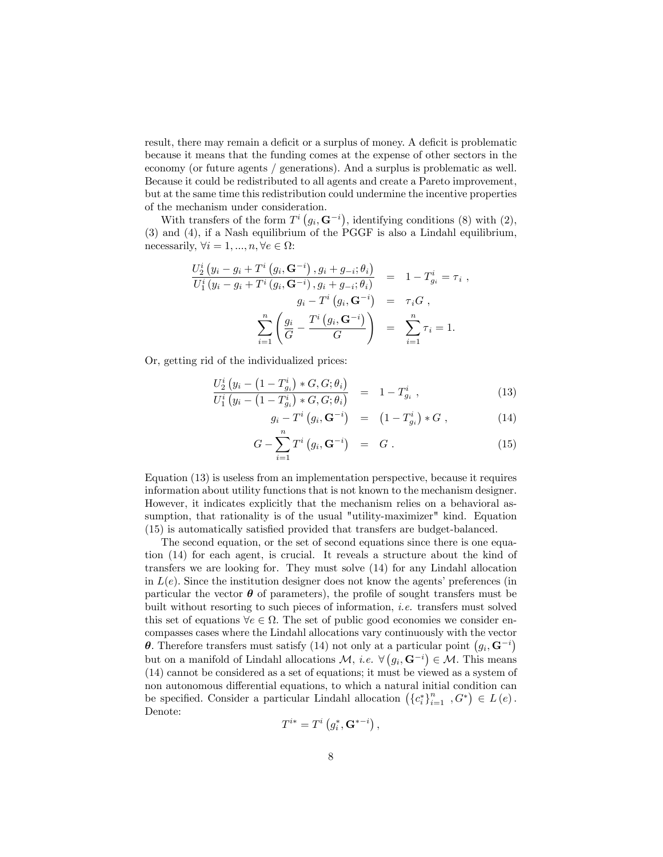result, there may remain a deficit or a surplus of money. A deficit is problematic because it means that the funding comes at the expense of other sectors in the economy (or future agents / generations). And a surplus is problematic as well. Because it could be redistributed to all agents and create a Pareto improvement, but at the same time this redistribution could undermine the incentive properties of the mechanism under consideration.

With transfers of the form  $T^i(g_i, \mathbf{G}^{-i})$ , identifying conditions (8) with (2), (3) and (4), if a Nash equilibrium of the PGGF is also a Lindahl equilibrium, necessarily,  $\forall i = 1, ..., n, \forall e \in \Omega$ :

$$
\frac{U_2^i (y_i - g_i + T^i (g_i, \mathbf{G}^{-i}), g_i + g_{-i}; \theta_i)}{U_1^i (y_i - g_i + T^i (g_i, \mathbf{G}^{-i}), g_i + g_{-i}; \theta_i)} = 1 - T_{g_i}^i = \tau_i ,
$$
  

$$
g_i - T^i (g_i, \mathbf{G}^{-i}) = \tau_i G ,
$$
  

$$
\sum_{i=1}^n \left( \frac{g_i}{G} - \frac{T^i (g_i, \mathbf{G}^{-i})}{G} \right) = \sum_{i=1}^n \tau_i = 1.
$$

Or, getting rid of the individualized prices:

$$
\frac{U_2^i (y_i - (1 - T_{g_i}^i) * G, G; \theta_i)}{U_1^i (y_i - (1 - T_{g_i}^i) * G, G; \theta_i)} = 1 - T_{g_i}^i ,
$$
\n(13)

$$
g_i - T^i \left( g_i, \mathbf{G}^{-i} \right) = \left( 1 - T^i_{g_i} \right) * G \,, \tag{14}
$$

$$
G - \sum_{i=1}^{n} T^{i} \left( g_{i}, \mathbf{G}^{-i} \right) = G . \qquad (15)
$$

Equation (13) is useless from an implementation perspective, because it requires information about utility functions that is not known to the mechanism designer. However, it indicates explicitly that the mechanism relies on a behavioral assumption, that rationality is of the usual "utility-maximizer" kind. Equation (15) is automatically satisfied provided that transfers are budget-balanced.

The second equation, or the set of second equations since there is one equation (14) for each agent, is crucial. It reveals a structure about the kind of transfers we are looking for. They must solve (14) for any Lindahl allocation in  $L(e)$ . Since the institution designer does not know the agents' preferences (in particular the vector  $\boldsymbol{\theta}$  of parameters), the profile of sought transfers must be built without resorting to such pieces of information, i.e. transfers must solved this set of equations  $\forall e \in \Omega$ . The set of public good economies we consider encompasses cases where the Lindahl allocations vary continuously with the vector  $\theta$ . Therefore transfers must satisfy (14) not only at a particular point  $(g_i, \mathbf{G}^{-i})$ but on a manifold of Lindahl allocations  $\mathcal{M}$ , *i.e.*  $\forall (g_i, \mathbf{G}^{-i}) \in \mathcal{M}$ . This means (14) cannot be considered as a set of equations; it must be viewed as a system of non autonomous differential equations, to which a natural initial condition can be specified. Consider a particular Lindahl allocation  $(\{c_i^*\}_{i=1}^n, G^*) \in L(e)$ . Denote:

$$
T^{i*} = T^i \left( g_i^*, \mathbf{G}^{* - i} \right),
$$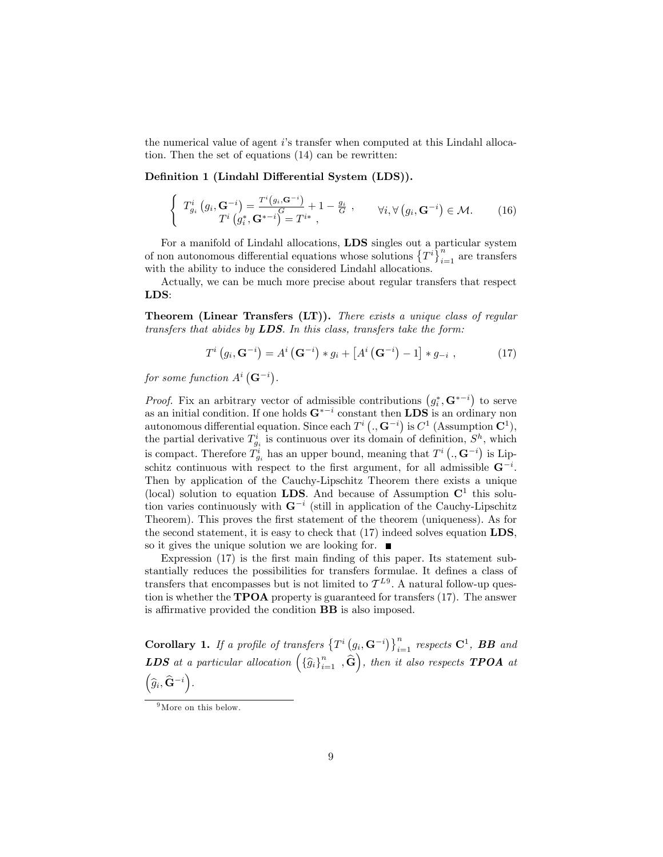the numerical value of agent iís transfer when computed at this Lindahl allocation. Then the set of equations (14) can be rewritten:

Definition 1 (Lindahl Differential System (LDS)).

$$
\begin{cases}\nT_{g_i}^i\left(g_i, \mathbf{G}^{-i}\right) = \frac{T^i\left(g_i, \mathbf{G}^{-i}\right)}{T^i\left(g_i^*, \mathbf{G}^{*-i}\right)} + 1 - \frac{g_i}{G} , & \forall i, \forall \left(g_i, \mathbf{G}^{-i}\right) \in \mathcal{M}.\n\end{cases}\n\tag{16}
$$

For a manifold of Lindahl allocations, LDS singles out a particular system of non autonomous differential equations whose solutions  $\{T^i\}_{i=1}^n$  are transfers with the ability to induce the considered Lindahl allocations.

Actually, we can be much more precise about regular transfers that respect LDS:

Theorem (Linear Transfers (LT)). There exists a unique class of regular transfers that abides by  $LDS$ . In this class, transfers take the form:

$$
T^{i}(g_{i}, \mathbf{G}^{-i}) = A^{i}(\mathbf{G}^{-i}) * g_{i} + [A^{i}(\mathbf{G}^{-i}) - 1] * g_{-i} , \qquad (17)
$$

for some function  $A^i(\mathbf{G}^{-i})$ .

*Proof.* Fix an arbitrary vector of admissible contributions  $(g_i^*, \mathbf{G}^{*-i})$  to serve as an initial condition. If one holds  $\mathbf{G}^{*-i}$  constant then  $\mathbf{LDS}$  is an ordinary non autonomous differential equation. Since each  $T^i$  (.,  $G^{-i}$ ) is  $C^1$  (Assumption  $C^1$ ), the partial derivative  $T_{g_i}^i$  is continuous over its domain of definition,  $S^h$ , which is compact. Therefore  $\tilde{T}_{g_i}^i$  has an upper bound, meaning that  $T^i$  (.,  $\mathbf{G}^{-i}$ ) is Lipschitz continuous with respect to the first argument, for all admissible  $G^{-i}$ . Then by application of the Cauchy-Lipschitz Theorem there exists a unique (local) solution to equation LDS. And because of Assumption  $\mathbb{C}^1$  this solution varies continuously with  $G^{-i}$  (still in application of the Cauchy-Lipschitz Theorem). This proves the first statement of the theorem (uniqueness). As for the second statement, it is easy to check that (17) indeed solves equation LDS, so it gives the unique solution we are looking for.  $\blacksquare$ 

Expression  $(17)$  is the first main finding of this paper. Its statement substantially reduces the possibilities for transfers formulae. It defines a class of transfers that encompasses but is not limited to  $\mathcal{T}^{L9}$ . A natural follow-up question is whether the **TPOA** property is guaranteed for transfers  $(17)$ . The answer is affirmative provided the condition **BB** is also imposed.

Corollary 1. If a profile of transfers  $\left\{T^i(g_i, \mathbf{G}^{-i})\right\}_{i=1}^n$  respects  $\mathbf{C}^1$ , **BB** and **LDS** at a particular allocation  $(\{\widehat{g}_i\}_{i=1}^n, \widehat{G}\})$ , then it also respects **TPOA** at  $\Big(\widehat g_i,\widehat{\mathbf G}^{-i}\Big).$ 

<sup>&</sup>lt;sup>9</sup>More on this below.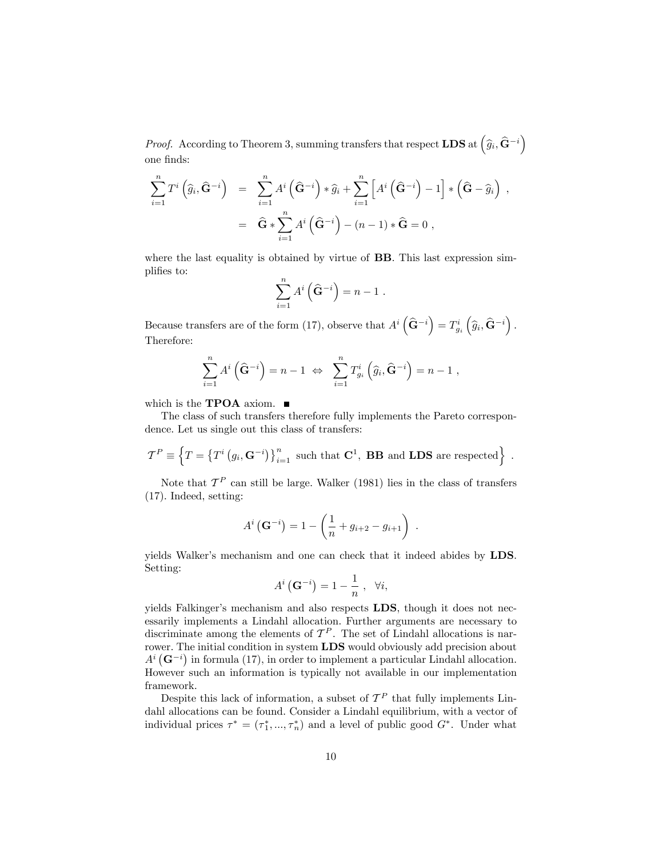*Proof.* According to Theorem 3, summing transfers that respect  $\text{LDS} \text{ at } \left( \widehat{g}_i, \widehat{\mathbf{G}}^{-i} \right)$ one finds:

$$
\sum_{i=1}^{n} T^{i} (\widehat{g}_{i}, \widehat{\mathbf{G}}^{-i}) = \sum_{i=1}^{n} A^{i} (\widehat{\mathbf{G}}^{-i}) * \widehat{g}_{i} + \sum_{i=1}^{n} [A^{i} (\widehat{\mathbf{G}}^{-i}) - 1] * (\widehat{\mathbf{G}} - \widehat{g}_{i}),
$$
  

$$
= \widehat{\mathbf{G}} * \sum_{i=1}^{n} A^{i} (\widehat{\mathbf{G}}^{-i}) - (n-1) * \widehat{\mathbf{G}} = 0,
$$

where the last equality is obtained by virtue of **BB**. This last expression simplifies to:

$$
\sum_{i=1}^{n} A^i \left( \widehat{\mathbf{G}}^{-i} \right) = n - 1.
$$

Because transfers are of the form (17), observe that  $A^i\left(\widehat{\mathbf{G}}^{-i}\right) = T_{g_i}^i\left(\widehat{g}_i, \widehat{\mathbf{G}}^{-i}\right)$ . Therefore:

$$
\sum_{i=1}^n A^i \left( \widehat{\mathbf{G}}^{-i} \right) = n - 1 \Leftrightarrow \sum_{i=1}^n T_{g_i}^i \left( \widehat{g}_i, \widehat{\mathbf{G}}^{-i} \right) = n - 1,
$$

which is the **TPOA** axiom.  $\blacksquare$ 

The class of such transfers therefore fully implements the Pareto correspondence. Let us single out this class of transfers:

$$
\mathcal{T}^{P} \equiv \left\{ T = \left\{ T^{i} \left( g_{i}, \mathbf{G}^{-i} \right) \right\}_{i=1}^{n} \text{ such that } \mathbf{C}^{1}, \text{ } \mathbf{B} \mathbf{B} \text{ and } \mathbf{L} \mathbf{D} \mathbf{S} \text{ are respected} \right\} \ .
$$

Note that  $\mathcal{T}^P$  can still be large. Walker (1981) lies in the class of transfers (17). Indeed, setting:

$$
A^{i} (\mathbf{G}^{-i}) = 1 - \left(\frac{1}{n} + g_{i+2} - g_{i+1}\right) .
$$

yields Walker's mechanism and one can check that it indeed abides by **LDS**. Setting:

$$
A^{i}\left(\mathbf{G}^{-i}\right) = 1 - \frac{1}{n}, \ \ \forall i,
$$

yields Falkinger's mechanism and also respects LDS, though it does not necessarily implements a Lindahl allocation. Further arguments are necessary to discriminate among the elements of  $\mathcal{T}^P$ . The set of Lindahl allocations is narrower. The initial condition in system LDS would obviously add precision about  $A^{i}(\mathbf{G}^{-i})$  in formula (17), in order to implement a particular Lindahl allocation. However such an information is typically not available in our implementation framework.

Despite this lack of information, a subset of  $\mathcal{T}^P$  that fully implements Lindahl allocations can be found. Consider a Lindahl equilibrium, with a vector of individual prices  $\tau^* = (\tau_1^*, ..., \tau_n^*)$  and a level of public good  $G^*$ . Under what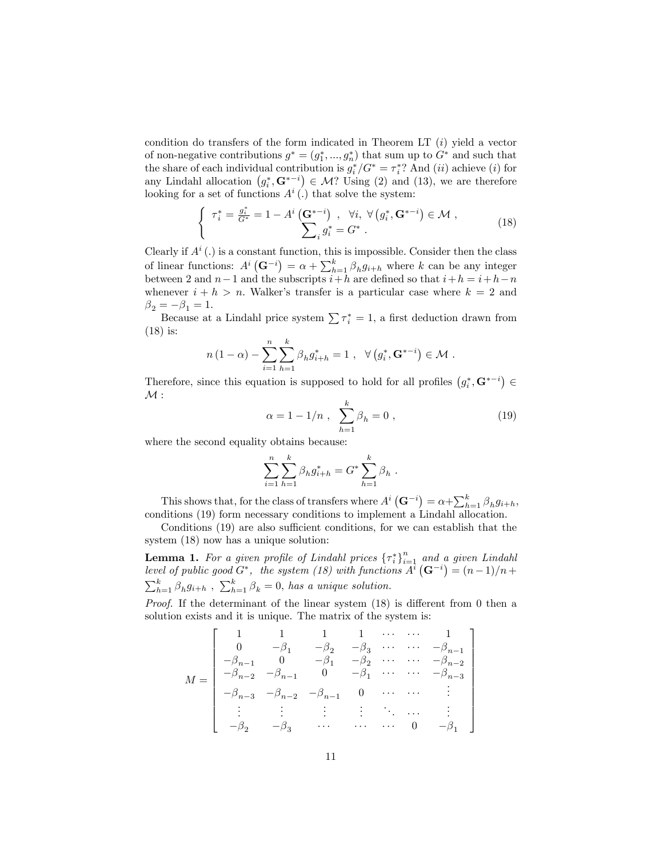condition do transfers of the form indicated in Theorem LT  $(i)$  yield a vector of non-negative contributions  $g^* = (g_1^*,..., g_n^*)$  that sum up to  $G^*$  and such that the share of each individual contribution is  $g_i^*/G^* = \tau_i^*$ ? And  $(ii)$  achieve  $(i)$  for any Lindahl allocation  $(g_i^*, \mathbf{G}^{*-i}) \in \mathcal{M}$ ? Using (2) and (13), we are therefore looking for a set of functions  $A^i(.)$  that solve the system:

$$
\begin{cases}\n\tau_i^* = \frac{g_i^*}{G^*} = 1 - A^i \left( \mathbf{G}^{*-i} \right) , & \forall i, \ \forall \left( g_i^*, \mathbf{G}^{*-i} \right) \in \mathcal{M} ,\\ \sum_i g_i^* = G^* .\n\end{cases} \tag{18}
$$

Clearly if  $A^i(.)$  is a constant function, this is impossible. Consider then the class of linear functions:  $A^i(\mathbf{G}^{-i}) = \alpha + \sum_{h=1}^k \beta_h g_{i+h}$  where k can be any integer between 2 and  $n-1$  and the subscripts  $i+h$  are defined so that  $i+h = i+h-n$ whenever  $i + h > n$ . Walker's transfer is a particular case where  $k = 2$  and  $\beta_2 = -\beta_1 = 1.$ 

Because at a Lindahl price system  $\sum \tau_i^* = 1$ , a first deduction drawn from (18) is:

$$
n(1 - \alpha) - \sum_{i=1}^{n} \sum_{h=1}^{k} \beta_h g_{i+h}^* = 1 , \ \ \forall (g_i^*, \mathbf{G}^{*-i}) \in \mathcal{M} .
$$

Therefore, since this equation is supposed to hold for all profiles  $(g_i^*, \mathbf{G}^{*-i}) \in$  $\mathcal{M}:$ 

$$
\alpha = 1 - 1/n , \sum_{h=1}^{k} \beta_h = 0 , \qquad (19)
$$

where the second equality obtains because:

$$
\sum_{i=1}^{n} \sum_{h=1}^{k} \beta_h g_{i+h}^* = G^* \sum_{h=1}^{k} \beta_h.
$$

This shows that, for the class of transfers where  $A^i\left(\mathbf{G}^{-i}\right) = \alpha + \sum_{h=1}^k \beta_h g_{i+h}$ , conditions (19) form necessary conditions to implement a Lindahl allocation.

Conditions  $(19)$  are also sufficient conditions, for we can establish that the system (18) now has a unique solution:

**Lemma 1.** For a given profile of Lindahl prices  $\{\tau_i^*\}_{i=1}^n$  and a given Lindahl level of public good  $G^*$ , the system (18) with functions  $\overline{A}^i(G^{-i}) = (n-1)/n +$  $\sum_{h=1}^{k} \beta_h g_{i+h}$ ,  $\sum_{h=1}^{k} \beta_k = 0$ , has a unique solution.

*Proof.* If the determinant of the linear system  $(18)$  is different from 0 then a solution exists and it is unique. The matrix of the system is:

$$
M = \left[ \begin{array}{ccccc} 1 & 1 & 1 & 1 & \cdots & \cdots & 1 \\ 0 & -\beta_1 & -\beta_2 & -\beta_3 & \cdots & \cdots & -\beta_{n-1} \\ -\beta_{n-1} & 0 & -\beta_1 & -\beta_2 & \cdots & \cdots & -\beta_{n-2} \\ -\beta_{n-2} & -\beta_{n-1} & 0 & -\beta_1 & \cdots & \cdots & -\beta_{n-3} \\ -\beta_{n-3} & -\beta_{n-2} & -\beta_{n-1} & 0 & \cdots & \cdots & \vdots \\ \vdots & \vdots & \vdots & \vdots & \ddots & \cdots & \vdots \\ -\beta_2 & -\beta_3 & \cdots & \cdots & \cdots & 0 & -\beta_1 \end{array} \right]
$$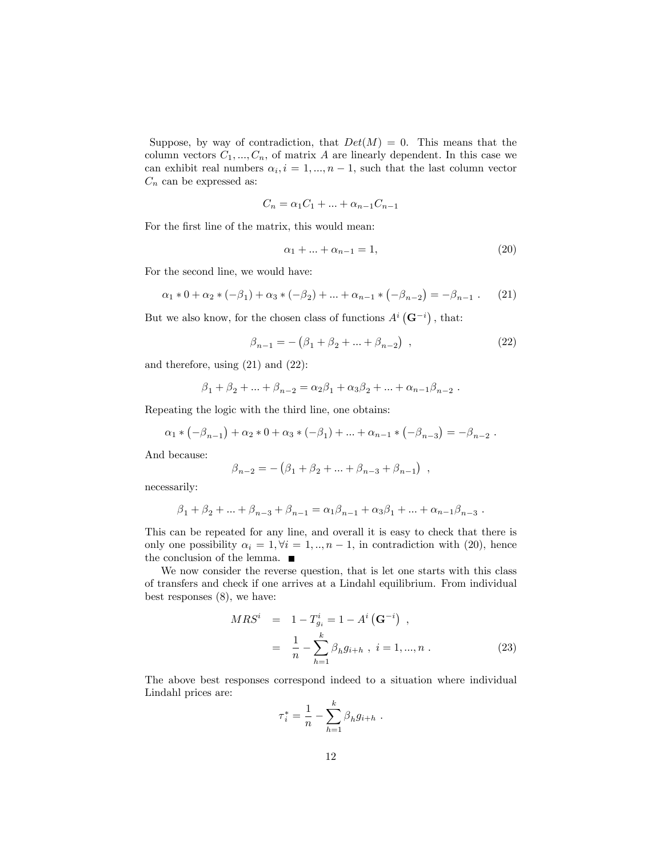Suppose, by way of contradiction, that  $Det(M) = 0$ . This means that the column vectors  $C_1, ..., C_n$ , of matrix A are linearly dependent. In this case we can exhibit real numbers  $\alpha_i$ ,  $i = 1, ..., n - 1$ , such that the last column vector  $C_n$  can be expressed as:

$$
C_n = \alpha_1 C_1 + \dots + \alpha_{n-1} C_{n-1}
$$

For the first line of the matrix, this would mean:

$$
\alpha_1 + \dots + \alpha_{n-1} = 1,\tag{20}
$$

For the second line, we would have:

$$
\alpha_1 * 0 + \alpha_2 * (-\beta_1) + \alpha_3 * (-\beta_2) + \dots + \alpha_{n-1} * (-\beta_{n-2}) = -\beta_{n-1} .
$$
 (21)

But we also know, for the chosen class of functions  $A^{i}(\mathbf{G}^{-i})$ , that:

$$
\beta_{n-1} = -(\beta_1 + \beta_2 + \dots + \beta_{n-2}), \qquad (22)
$$

and therefore, using (21) and (22):

$$
\beta_1 + \beta_2 + \dots + \beta_{n-2} = \alpha_2 \beta_1 + \alpha_3 \beta_2 + \dots + \alpha_{n-1} \beta_{n-2}
$$
.

Repeating the logic with the third line, one obtains:

$$
\alpha_1 * (-\beta_{n-1}) + \alpha_2 * 0 + \alpha_3 * (-\beta_1) + \dots + \alpha_{n-1} * (-\beta_{n-3}) = -\beta_{n-2}.
$$

And because:

$$
\beta_{n-2} = -(\beta_1 + \beta_2 + \ldots + \beta_{n-3} + \beta_{n-1}) ,
$$

necessarily:

$$
\beta_1 + \beta_2 + \ldots + \beta_{n-3} + \beta_{n-1} = \alpha_1 \beta_{n-1} + \alpha_3 \beta_1 + \ldots + \alpha_{n-1} \beta_{n-3} .
$$

This can be repeated for any line, and overall it is easy to check that there is only one possibility  $\alpha_i = 1, \forall i = 1, ..., n - 1$ , in contradiction with (20), hence the conclusion of the lemma.  $\blacksquare$ 

We now consider the reverse question, that is let one starts with this class of transfers and check if one arrives at a Lindahl equilibrium. From individual best responses (8), we have:

$$
MRS^{i} = 1 - T_{g_i}^{i} = 1 - A^{i} (\mathbf{G}^{-i}),
$$
  
= 
$$
\frac{1}{n} - \sum_{h=1}^{k} \beta_h g_{i+h}, i = 1, ..., n.
$$
 (23)

The above best responses correspond indeed to a situation where individual Lindahl prices are:  $\lambda$ 

$$
\tau_i^* = \frac{1}{n} - \sum_{h=1}^{\kappa} \beta_h g_{i+h} .
$$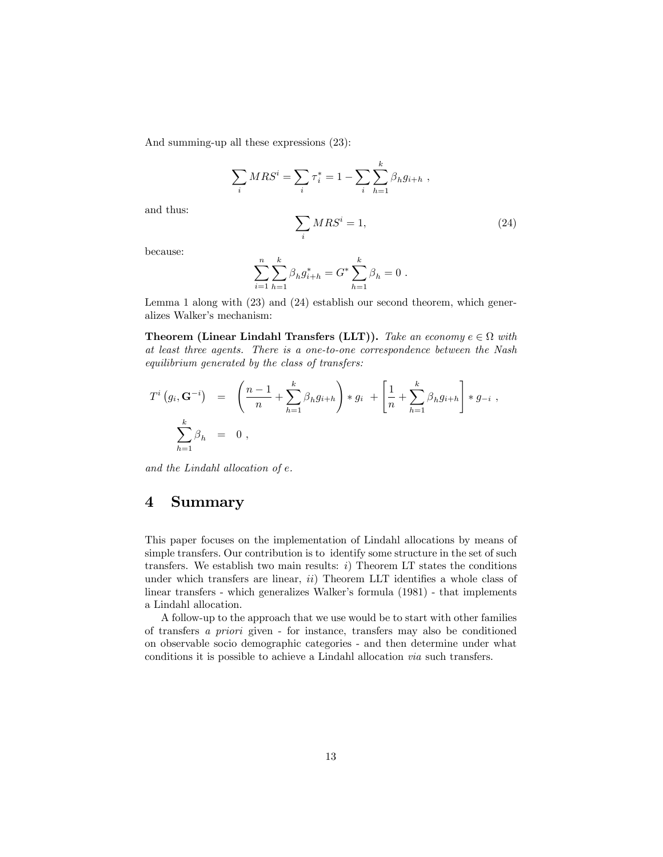And summing-up all these expressions (23):

$$
\sum_{i} MRS^{i} = \sum_{i} \tau_{i}^{*} = 1 - \sum_{i} \sum_{h=1}^{k} \beta_{h} g_{i+h} ,
$$

and thus:

$$
\sum_{i} MRS^{i} = 1,\t\t(24)
$$

because:

$$
\sum_{i=1}^{n} \sum_{h=1}^{k} \beta_h g_{i+h}^* = G^* \sum_{h=1}^{k} \beta_h = 0.
$$

Lemma 1 along with (23) and (24) establish our second theorem, which generalizes Walker's mechanism:

**Theorem (Linear Lindahl Transfers (LLT)).** Take an economy  $e \in \Omega$  with at least three agents. There is a one-to-one correspondence between the Nash equilibrium generated by the class of transfers:

$$
T^{i}(g_{i}, \mathbf{G}^{-i}) = \left(\frac{n-1}{n} + \sum_{h=1}^{k} \beta_{h} g_{i+h}\right) * g_{i} + \left[\frac{1}{n} + \sum_{h=1}^{k} \beta_{h} g_{i+h}\right] * g_{-i},
$$
  

$$
\sum_{h=1}^{k} \beta_{h} = 0,
$$

and the Lindahl allocation of e.

#### 4 Summary

This paper focuses on the implementation of Lindahl allocations by means of simple transfers. Our contribution is to identify some structure in the set of such transfers. We establish two main results:  $i$ ) Theorem LT states the conditions under which transfers are linear,  $ii)$  Theorem LLT identifies a whole class of linear transfers - which generalizes Walker's formula  $(1981)$  - that implements a Lindahl allocation.

A follow-up to the approach that we use would be to start with other families of transfers a priori given - for instance, transfers may also be conditioned on observable socio demographic categories - and then determine under what conditions it is possible to achieve a Lindahl allocation via such transfers.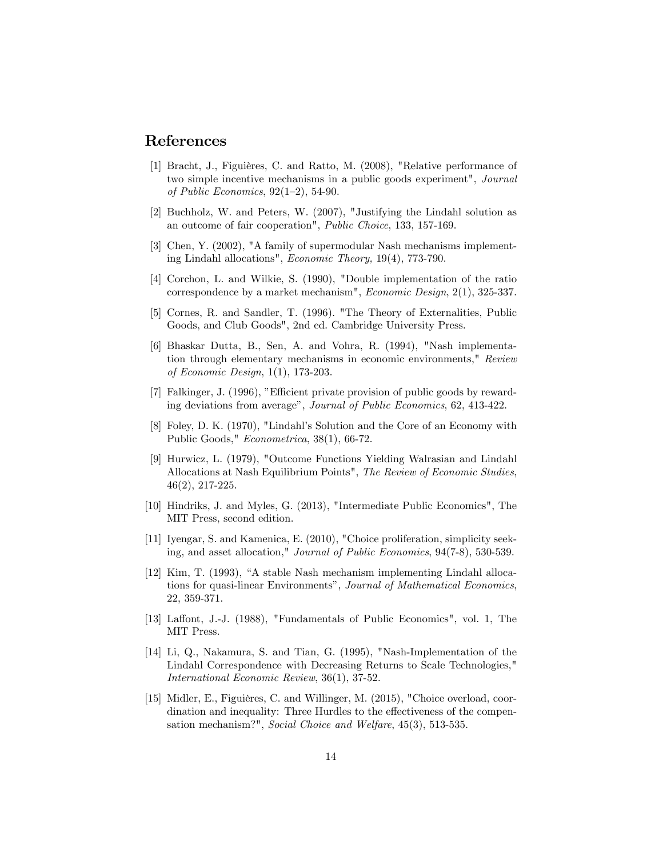#### References

- [1] Bracht, J., Figuières, C. and Ratto, M. (2008), "Relative performance of two simple incentive mechanisms in a public goods experiment", Journal of Public Economics,  $92(1-2)$ , 54-90.
- [2] Buchholz, W. and Peters, W. (2007), "Justifying the Lindahl solution as an outcome of fair cooperation", Public Choice, 133, 157-169.
- [3] Chen, Y. (2002), "A family of supermodular Nash mechanisms implementing Lindahl allocations", Economic Theory, 19(4), 773-790.
- [4] Corchon, L. and Wilkie, S. (1990), "Double implementation of the ratio correspondence by a market mechanism", Economic Design, 2(1), 325-337.
- [5] Cornes, R. and Sandler, T. (1996). "The Theory of Externalities, Public Goods, and Club Goods", 2nd ed. Cambridge University Press.
- [6] Bhaskar Dutta, B., Sen, A. and Vohra, R. (1994), "Nash implementation through elementary mechanisms in economic environments," Review of Economic Design, 1(1), 173-203.
- [7] Falkinger, J. (1996), "Efficient private provision of public goods by rewarding deviations from average", Journal of Public Economics, 62, 413-422.
- [8] Foley, D. K. (1970), "Lindahlís Solution and the Core of an Economy with Public Goods," Econometrica, 38(1), 66-72.
- [9] Hurwicz, L. (1979), "Outcome Functions Yielding Walrasian and Lindahl Allocations at Nash Equilibrium Points", The Review of Economic Studies, 46(2), 217-225.
- [10] Hindriks, J. and Myles, G. (2013), "Intermediate Public Economics", The MIT Press, second edition.
- [11] Iyengar, S. and Kamenica, E. (2010), "Choice proliferation, simplicity seeking, and asset allocation," Journal of Public Economics, 94(7-8), 530-539.
- $[12]$  Kim, T. (1993), "A stable Nash mechanism implementing Lindahl allocations for quasi-linear Environments", Journal of Mathematical Economics, 22, 359-371.
- [13] Laffont, J.-J. (1988), "Fundamentals of Public Economics", vol. 1, The MIT Press.
- [14] Li, Q., Nakamura, S. and Tian, G. (1995), "Nash-Implementation of the Lindahl Correspondence with Decreasing Returns to Scale Technologies," International Economic Review, 36(1), 37-52.
- [15] Midler, E., Figuières, C. and Willinger, M. (2015), "Choice overload, coordination and inequality: Three Hurdles to the effectiveness of the compensation mechanism?", Social Choice and Welfare, 45(3), 513-535.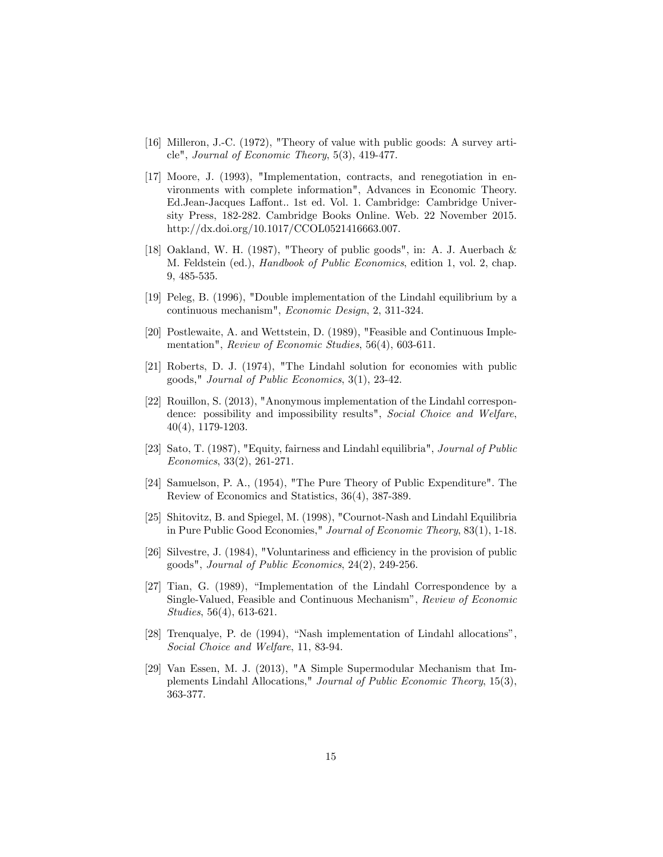- [16] Milleron, J.-C. (1972), "Theory of value with public goods: A survey article", Journal of Economic Theory, 5(3), 419-477.
- [17] Moore, J. (1993), "Implementation, contracts, and renegotiation in environments with complete information", Advances in Economic Theory. Ed.Jean-Jacques Laffont.. 1st ed. Vol. 1. Cambridge: Cambridge University Press, 182-282. Cambridge Books Online. Web. 22 November 2015. http://dx.doi.org/10.1017/CCOL0521416663.007.
- [18] Oakland, W. H. (1987), "Theory of public goods", in: A. J. Auerbach & M. Feldstein (ed.), Handbook of Public Economics, edition 1, vol. 2, chap. 9, 485-535.
- [19] Peleg, B. (1996), "Double implementation of the Lindahl equilibrium by a continuous mechanism", Economic Design, 2, 311-324.
- [20] Postlewaite, A. and Wettstein, D. (1989), "Feasible and Continuous Implementation", Review of Economic Studies, 56(4), 603-611.
- [21] Roberts, D. J. (1974), "The Lindahl solution for economies with public goods," Journal of Public Economics, 3(1), 23-42.
- [22] Rouillon, S. (2013), "Anonymous implementation of the Lindahl correspondence: possibility and impossibility results", Social Choice and Welfare, 40(4), 1179-1203.
- [23] Sato, T. (1987), "Equity, fairness and Lindahl equilibria", Journal of Public Economics, 33(2), 261-271.
- [24] Samuelson, P. A., (1954), "The Pure Theory of Public Expenditure". The Review of Economics and Statistics, 36(4), 387-389.
- [25] Shitovitz, B. and Spiegel, M. (1998), "Cournot-Nash and Lindahl Equilibria in Pure Public Good Economies," Journal of Economic Theory, 83(1), 1-18.
- $[26]$  Silvestre, J. (1984), "Voluntariness and efficiency in the provision of public goods", Journal of Public Economics, 24(2), 249-256.
- $[27]$  Tian, G.  $(1989)$ , "Implementation of the Lindahl Correspondence by a Single-Valued, Feasible and Continuous Mechanism", Review of Economic Studies, 56(4), 613-621.
- [28] Trenqualye, P. de  $(1994)$ , "Nash implementation of Lindahl allocations", Social Choice and Welfare, 11, 83-94.
- [29] Van Essen, M. J. (2013), "A Simple Supermodular Mechanism that Implements Lindahl Allocations," Journal of Public Economic Theory, 15(3), 363-377.